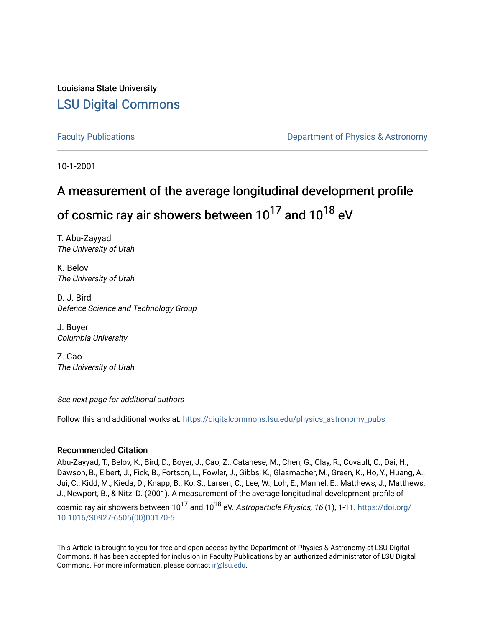### Louisiana State University [LSU Digital Commons](https://digitalcommons.lsu.edu/)

[Faculty Publications](https://digitalcommons.lsu.edu/physics_astronomy_pubs) **Example 2** Constant Department of Physics & Astronomy

10-1-2001

# A measurement of the average longitudinal development profile of cosmic ray air showers between  $10^{17}$  and  $10^{18}$  eV

T. Abu-Zayyad The University of Utah

K. Belov The University of Utah

D. J. Bird Defence Science and Technology Group

J. Boyer Columbia University

Z. Cao The University of Utah

See next page for additional authors

Follow this and additional works at: [https://digitalcommons.lsu.edu/physics\\_astronomy\\_pubs](https://digitalcommons.lsu.edu/physics_astronomy_pubs?utm_source=digitalcommons.lsu.edu%2Fphysics_astronomy_pubs%2F3308&utm_medium=PDF&utm_campaign=PDFCoverPages) 

#### Recommended Citation

Abu-Zayyad, T., Belov, K., Bird, D., Boyer, J., Cao, Z., Catanese, M., Chen, G., Clay, R., Covault, C., Dai, H., Dawson, B., Elbert, J., Fick, B., Fortson, L., Fowler, J., Gibbs, K., Glasmacher, M., Green, K., Ho, Y., Huang, A., Jui, C., Kidd, M., Kieda, D., Knapp, B., Ko, S., Larsen, C., Lee, W., Loh, E., Mannel, E., Matthews, J., Matthews, J., Newport, B., & Nitz, D. (2001). A measurement of the average longitudinal development profile of cosmic ray air showers between  $10^{17}$  and  $10^{18}$  eV. Astroparticle Physics, 16 (1), 1-11. [https://doi.org/](https://doi.org/10.1016/S0927-6505(00)00170-5) [10.1016/S0927-6505\(00\)00170-5](https://doi.org/10.1016/S0927-6505(00)00170-5) 

This Article is brought to you for free and open access by the Department of Physics & Astronomy at LSU Digital Commons. It has been accepted for inclusion in Faculty Publications by an authorized administrator of LSU Digital Commons. For more information, please contact [ir@lsu.edu](mailto:ir@lsu.edu).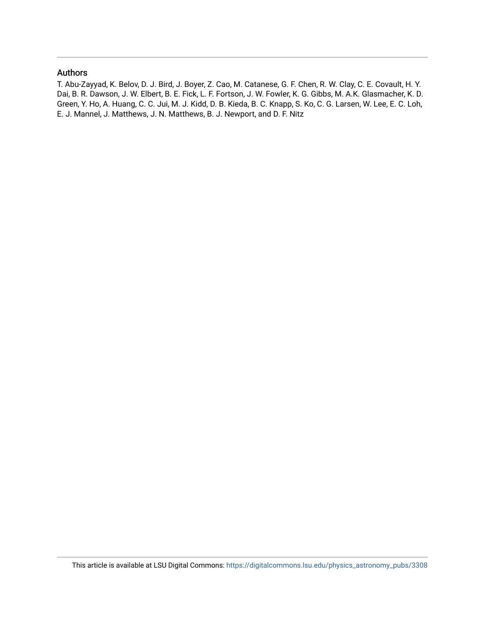#### Authors

T. Abu-Zayyad, K. Belov, D. J. Bird, J. Boyer, Z. Cao, M. Catanese, G. F. Chen, R. W. Clay, C. E. Covault, H. Y. Dai, B. R. Dawson, J. W. Elbert, B. E. Fick, L. F. Fortson, J. W. Fowler, K. G. Gibbs, M. A.K. Glasmacher, K. D. Green, Y. Ho, A. Huang, C. C. Jui, M. J. Kidd, D. B. Kieda, B. C. Knapp, S. Ko, C. G. Larsen, W. Lee, E. C. Loh, E. J. Mannel, J. Matthews, J. N. Matthews, B. J. Newport, and D. F. Nitz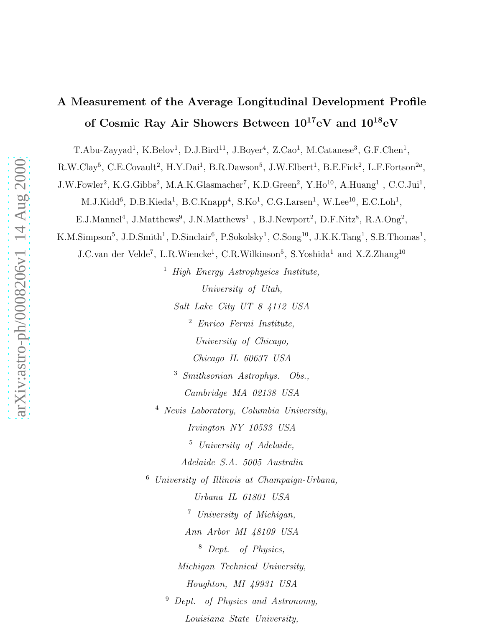## A Measurement of the Average Longitudinal Development Profile of Cosmic Ray Air Showers Between  $10^{17}$ eV and  $10^{18}$ eV

T.Abu-Zayyad<sup>1</sup>, K.Belov<sup>1</sup>, D.J.Bird<sup>11</sup>, J.Boyer<sup>4</sup>, Z.Cao<sup>1</sup>, M.Catanese<sup>3</sup>, G.F.Chen<sup>1</sup>,

R.W.Clay<sup>5</sup>, C.E.Covault<sup>2</sup>, H.Y.Dai<sup>1</sup>, B.R.Dawson<sup>5</sup>, J.W.Elbert<sup>1</sup>, B.E.Fick<sup>2</sup>, L.F.Fortson<sup>2a</sup>,

J.W.Fowler<sup>2</sup>, K.G.Gibbs<sup>2</sup>, M.A.K.Glasmacher<sup>7</sup>, K.D.Green<sup>2</sup>, Y.Ho<sup>10</sup>, A.Huang<sup>1</sup>, C.C.Jui<sup>1</sup>,

M.J.Kidd<sup>6</sup>, D.B.Kieda<sup>1</sup>, B.C.Knapp<sup>4</sup>, S.Ko<sup>1</sup>, C.G.Larsen<sup>1</sup>, W.Lee<sup>10</sup>, E.C.Loh<sup>1</sup>,

E.J.Mannel<sup>4</sup>, J.Matthews<sup>9</sup>, J.N.Matthews<sup>1</sup>, B.J.Newport<sup>2</sup>, D.F.Nitz<sup>8</sup>, R.A.Ong<sup>2</sup>,

K.M.Simpson<sup>5</sup>, J.D.Smith<sup>1</sup>, D.Sinclair<sup>6</sup>, P.Sokolsky<sup>1</sup>, C.Song<sup>10</sup>, J.K.K.Tang<sup>1</sup>, S.B.Thomas<sup>1</sup>,

J.C.van der Velde<sup>7</sup>, L.R.Wiencke<sup>1</sup>, C.R.Wilkinson<sup>5</sup>, S.Yoshida<sup>1</sup> and X.Z.Zhang<sup>10</sup>

<sup>1</sup> High Energy Astrophysics Institute, University of Utah, Salt Lake City UT 8 4112 USA <sup>2</sup> Enrico Fermi Institute,

University of Chicago,

Chicago IL 60637 USA

<sup>3</sup> Smithsonian Astrophys. Obs., Cambridge MA 02138 USA

<sup>4</sup> Nevis Laboratory, Columbia University, Irvington NY 10533 USA <sup>5</sup> University of Adelaide, Adelaide S.A. 5005 Australia

<sup>6</sup> University of Illinois at Champaign-Urbana, Urbana IL 61801 USA <sup>7</sup> University of Michigan, Ann Arbor MI 48109 USA <sup>8</sup> Dept. of Physics, Michigan Technical University, Houghton, MI 49931 USA <sup>9</sup> Dept. of Physics and Astronomy,

Louisiana State University,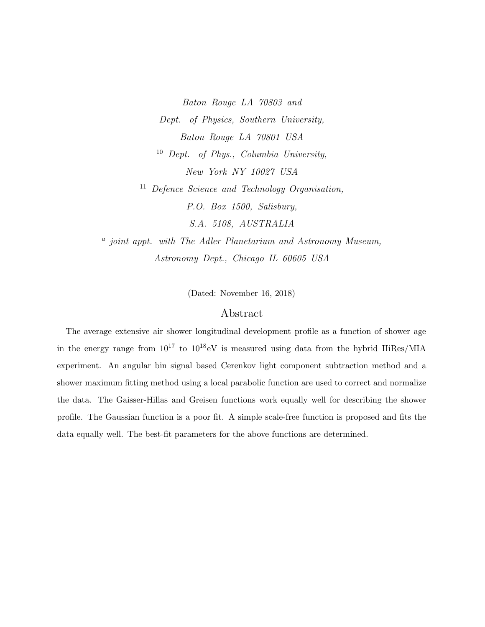Baton Rouge LA 70803 and Dept. of Physics, Southern University, Baton Rouge LA 70801 USA <sup>10</sup> Dept. of Phys., Columbia University, New York NY 10027 USA <sup>11</sup> Defence Science and Technology Organisation, P.O. Box 1500, Salisbury, S.A. 5108, AUSTRALIA

<sup>a</sup> joint appt. with The Adler Planetarium and Astronomy Museum, Astronomy Dept., Chicago IL 60605 USA

(Dated: November 16, 2018)

#### Abstract

The average extensive air shower longitudinal development profile as a function of shower age in the energy range from  $10^{17}$  to  $10^{18}$ eV is measured using data from the hybrid HiRes/MIA experiment. An angular bin signal based Cerenkov light component subtraction method and a shower maximum fitting method using a local parabolic function are used to correct and normalize the data. The Gaisser-Hillas and Greisen functions work equally well for describing the shower profile. The Gaussian function is a poor fit. A simple scale-free function is proposed and fits the data equally well. The best-fit parameters for the above functions are determined.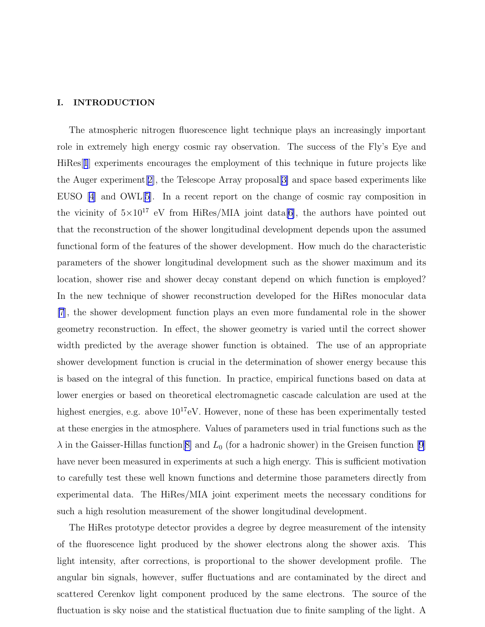#### I. INTRODUCTION

The atmospheric nitrogen fluorescence light technique plays an increasingly important role in extremely high energy cosmic ray observation. The success of the Fly's Eye and HiRes[[1](#page-15-0)] experiments encourages the employment of this technique in future projects like the Auger experiment[[2\]](#page-15-0), the Telescope Array proposal[[3\]](#page-16-0) and space based experiments like EUSO [\[4\]](#page-16-0) and OWL[\[5\]](#page-16-0). In a recent report on the change of cosmic ray composition in the vicinity of  $5\times10^{17}$  eV from HiRes/MIA joint data[\[6\]](#page-16-0), the authors have pointed out that the reconstruction of the shower longitudinal development depends upon the assumed functional form of the features of the shower development. How much do the characteristic parameters of the shower longitudinal development such as the shower maximum and its location, shower rise and shower decay constant depend on which function is employed? In the new technique of shower reconstruction developed for the HiRes monocular data [\[7](#page-16-0)], the shower development function plays an even more fundamental role in the shower geometry reconstruction. In effect, the shower geometry is varied until the correct shower width predicted by the average shower function is obtained. The use of an appropriate shower development function is crucial in the determination of shower energy because this is based on the integral of this function. In practice, empirical functions based on data at lower energies or based on theoretical electromagnetic cascade calculation are used at the highest energies, e.g. above  $10^{17}$ eV. However, none of these has been experimentally tested at these energies in the atmosphere. Values of parameters used in trial functions such as the  $\lambda$  in the Gaisser-Hillas function [[8\]](#page-16-0) and  $L_0$  (for a hadronic shower) in the Greisen function [\[9\]](#page-16-0) have never been measured in experiments at such a high energy. This is sufficient motivation to carefully test these well known functions and determine those parameters directly from experimental data. The HiRes/MIA joint experiment meets the necessary conditions for such a high resolution measurement of the shower longitudinal development.

The HiRes prototype detector provides a degree by degree measurement of the intensity of the fluorescence light produced by the shower electrons along the shower axis. This light intensity, after corrections, is proportional to the shower development profile. The angular bin signals, however, suffer fluctuations and are contaminated by the direct and scattered Cerenkov light component produced by the same electrons. The source of the fluctuation is sky noise and the statistical fluctuation due to finite sampling of the light. A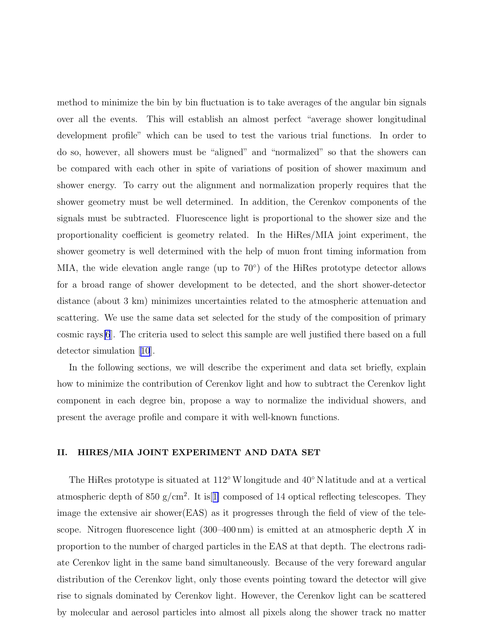method to minimize the bin by bin fluctuation is to take averages of the angular bin signals over all the events. This will establish an almost perfect "average shower longitudinal development profile" which can be used to test the various trial functions. In order to do so, however, all showers must be "aligned" and "normalized" so that the showers can be compared with each other in spite of variations of position of shower maximum and shower energy. To carry out the alignment and normalization properly requires that the shower geometry must be well determined. In addition, the Cerenkov components of the signals must be subtracted. Fluorescence light is proportional to the shower size and the proportionality coefficient is geometry related. In the HiRes/MIA joint experiment, the shower geometry is well determined with the help of muon front timing information from MIA, the wide elevation angle range (up to  $70^{\circ}$ ) of the HiRes prototype detector allows for a broad range of shower development to be detected, and the short shower-detector distance (about 3 km) minimizes uncertainties related to the atmospheric attenuation and scattering. We use the same data set selected for the study of the composition of primary cosmic rays[\[6](#page-16-0)]. The criteria used to select this sample are well justified there based on a full detector simulation[[10](#page-16-0)].

In the following sections, we will describe the experiment and data set briefly, explain how to minimize the contribution of Cerenkov light and how to subtract the Cerenkov light component in each degree bin, propose a way to normalize the individual showers, and present the average profile and compare it with well-known functions.

#### II. HIRES/MIA JOINT EXPERIMENT AND DATA SET

The HiRes prototype is situated at  $112°$  W longitude and  $40°$  N latitude and at a vertical atmospheric depth of  $850 \text{ g/cm}^2$ . It is [[1\]](#page-15-0) composed of 14 optical reflecting telescopes. They image the extensive air shower(EAS) as it progresses through the field of view of the telescope. Nitrogen fluorescence light  $(300-400 \text{ nm})$  is emitted at an atmospheric depth X in proportion to the number of charged particles in the EAS at that depth. The electrons radiate Cerenkov light in the same band simultaneously. Because of the very foreward angular distribution of the Cerenkov light, only those events pointing toward the detector will give rise to signals dominated by Cerenkov light. However, the Cerenkov light can be scattered by molecular and aerosol particles into almost all pixels along the shower track no matter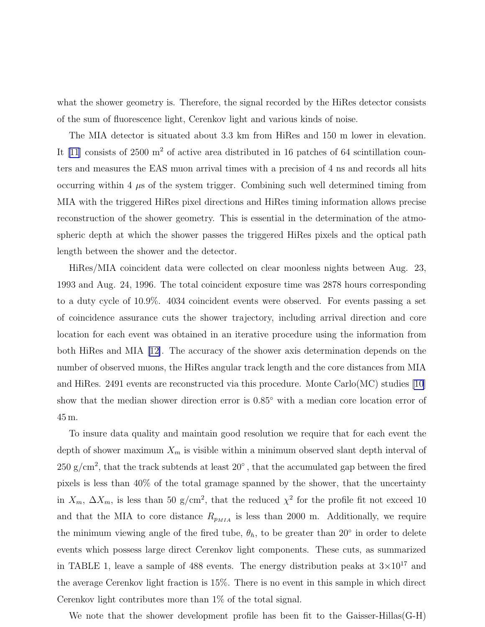what the shower geometry is. Therefore, the signal recorded by the HiRes detector consists of the sum of fluorescence light, Cerenkov light and various kinds of noise.

The MIA detector is situated about 3.3 km from HiRes and 150 m lower in elevation. It  $[11]$  consists of 2500 m<sup>2</sup> of active area distributed in 16 patches of 64 scintillation counters and measures the EAS muon arrival times with a precision of 4 ns and records all hits occurring within 4  $\mu$ s of the system trigger. Combining such well determined timing from MIA with the triggered HiRes pixel directions and HiRes timing information allows precise reconstruction of the shower geometry. This is essential in the determination of the atmospheric depth at which the shower passes the triggered HiRes pixels and the optical path length between the shower and the detector.

HiRes/MIA coincident data were collected on clear moonless nights between Aug. 23, 1993 and Aug. 24, 1996. The total coincident exposure time was 2878 hours corresponding to a duty cycle of 10.9%. 4034 coincident events were observed. For events passing a set of coincidence assurance cuts the shower trajectory, including arrival direction and core location for each event was obtained in an iterative procedure using the information from both HiRes and MIA [\[12\]](#page-16-0). The accuracy of the shower axis determination depends on the number of observed muons, the HiRes angular track length and the core distances from MIA and HiRes. 2491 events are reconstructed via this procedure. Monte Carlo(MC) studies [\[10\]](#page-16-0) show that the median shower direction error is  $0.85^{\circ}$  with a median core location error of 45 m.

To insure data quality and maintain good resolution we require that for each event the depth of shower maximum  $X_m$  is visible within a minimum observed slant depth interval of  $250 \text{ g/cm}^2$ , that the track subtends at least  $20^\circ$ , that the accumulated gap between the fired pixels is less than 40% of the total gramage spanned by the shower, that the uncertainty in  $X_m$ ,  $\Delta X_m$ , is less than 50 g/cm<sup>2</sup>, that the reduced  $\chi^2$  for the profile fit not exceed 10 and that the MIA to core distance  $R_{p_{MIA}}$  is less than 2000 m. Additionally, we require the minimum viewing angle of the fired tube,  $\theta_h$ , to be greater than 20<sup>°</sup> in order to delete events which possess large direct Cerenkov light components. These cuts, as summarized in TABLE 1, leave a sample of 488 events. The energy distribution peaks at  $3\times10^{17}$  and the average Cerenkov light fraction is 15%. There is no event in this sample in which direct Cerenkov light contributes more than 1% of the total signal.

We note that the shower development profile has been fit to the Gaisser-Hillas (G-H)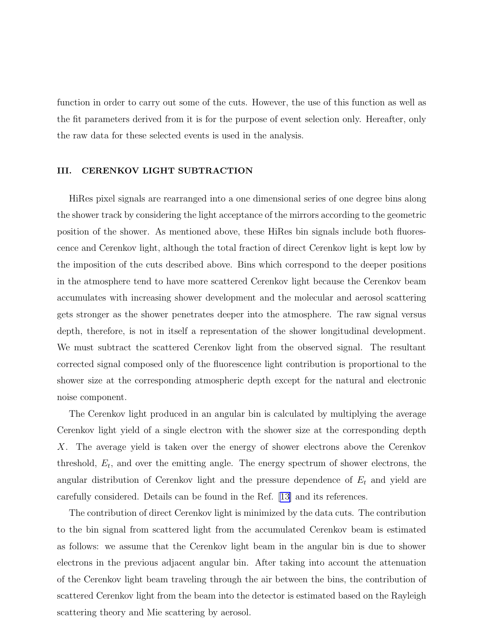function in order to carry out some of the cuts. However, the use of this function as well as the fit parameters derived from it is for the purpose of event selection only. Hereafter, only the raw data for these selected events is used in the analysis.

#### III. CERENKOV LIGHT SUBTRACTION

HiRes pixel signals are rearranged into a one dimensional series of one degree bins along the shower track by considering the light acceptance of the mirrors according to the geometric position of the shower. As mentioned above, these HiRes bin signals include both fluorescence and Cerenkov light, although the total fraction of direct Cerenkov light is kept low by the imposition of the cuts described above. Bins which correspond to the deeper positions in the atmosphere tend to have more scattered Cerenkov light because the Cerenkov beam accumulates with increasing shower development and the molecular and aerosol scattering gets stronger as the shower penetrates deeper into the atmosphere. The raw signal versus depth, therefore, is not in itself a representation of the shower longitudinal development. We must subtract the scattered Cerenkov light from the observed signal. The resultant corrected signal composed only of the fluorescence light contribution is proportional to the shower size at the corresponding atmospheric depth except for the natural and electronic noise component.

The Cerenkov light produced in an angular bin is calculated by multiplying the average Cerenkov light yield of a single electron with the shower size at the corresponding depth X. The average yield is taken over the energy of shower electrons above the Cerenkov threshold,  $E_t$ , and over the emitting angle. The energy spectrum of shower electrons, the angular distribution of Cerenkov light and the pressure dependence of  $E_t$  and yield are carefully considered. Details can be found in the Ref.[[13\]](#page-16-0) and its references.

The contribution of direct Cerenkov light is minimized by the data cuts. The contribution to the bin signal from scattered light from the accumulated Cerenkov beam is estimated as follows: we assume that the Cerenkov light beam in the angular bin is due to shower electrons in the previous adjacent angular bin. After taking into account the attenuation of the Cerenkov light beam traveling through the air between the bins, the contribution of scattered Cerenkov light from the beam into the detector is estimated based on the Rayleigh scattering theory and Mie scattering by aerosol.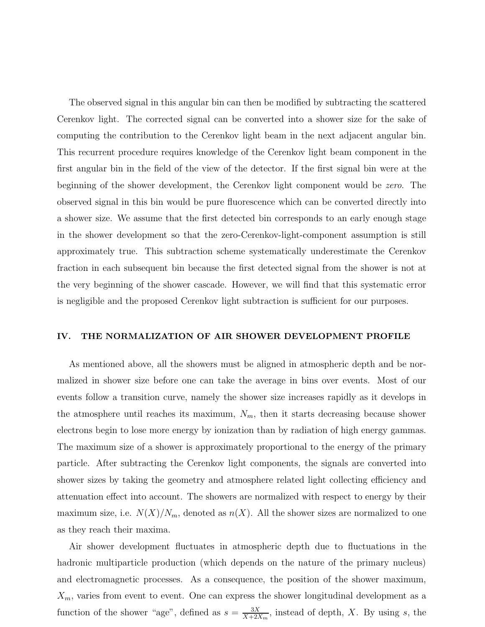The observed signal in this angular bin can then be modified by subtracting the scattered Cerenkov light. The corrected signal can be converted into a shower size for the sake of computing the contribution to the Cerenkov light beam in the next adjacent angular bin. This recurrent procedure requires knowledge of the Cerenkov light beam component in the first angular bin in the field of the view of the detector. If the first signal bin were at the beginning of the shower development, the Cerenkov light component would be zero. The observed signal in this bin would be pure fluorescence which can be converted directly into a shower size. We assume that the first detected bin corresponds to an early enough stage in the shower development so that the zero-Cerenkov-light-component assumption is still approximately true. This subtraction scheme systematically underestimate the Cerenkov fraction in each subsequent bin because the first detected signal from the shower is not at the very beginning of the shower cascade. However, we will find that this systematic error is negligible and the proposed Cerenkov light subtraction is sufficient for our purposes.

#### IV. THE NORMALIZATION OF AIR SHOWER DEVELOPMENT PROFILE

As mentioned above, all the showers must be aligned in atmospheric depth and be normalized in shower size before one can take the average in bins over events. Most of our events follow a transition curve, namely the shower size increases rapidly as it develops in the atmosphere until reaches its maximum,  $N_m$ , then it starts decreasing because shower electrons begin to lose more energy by ionization than by radiation of high energy gammas. The maximum size of a shower is approximately proportional to the energy of the primary particle. After subtracting the Cerenkov light components, the signals are converted into shower sizes by taking the geometry and atmosphere related light collecting efficiency and attenuation effect into account. The showers are normalized with respect to energy by their maximum size, i.e.  $N(X)/N_m$ , denoted as  $n(X)$ . All the shower sizes are normalized to one as they reach their maxima.

Air shower development fluctuates in atmospheric depth due to fluctuations in the hadronic multiparticle production (which depends on the nature of the primary nucleus) and electromagnetic processes. As a consequence, the position of the shower maximum,  $X_m$ , varies from event to event. One can express the shower longitudinal development as a function of the shower "age", defined as  $s = \frac{3X}{X+2Y}$  $\frac{3X}{X+2X_m}$ , instead of depth, X. By using s, the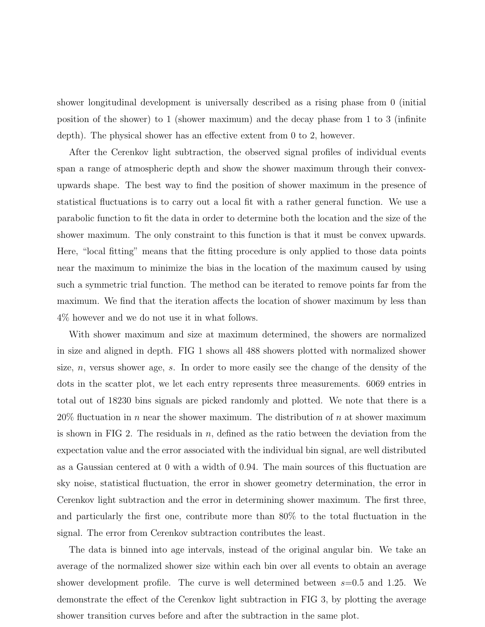shower longitudinal development is universally described as a rising phase from 0 (initial position of the shower) to 1 (shower maximum) and the decay phase from 1 to 3 (infinite depth). The physical shower has an effective extent from 0 to 2, however.

After the Cerenkov light subtraction, the observed signal profiles of individual events span a range of atmospheric depth and show the shower maximum through their convexupwards shape. The best way to find the position of shower maximum in the presence of statistical fluctuations is to carry out a local fit with a rather general function. We use a parabolic function to fit the data in order to determine both the location and the size of the shower maximum. The only constraint to this function is that it must be convex upwards. Here, "local fitting" means that the fitting procedure is only applied to those data points near the maximum to minimize the bias in the location of the maximum caused by using such a symmetric trial function. The method can be iterated to remove points far from the maximum. We find that the iteration affects the location of shower maximum by less than 4% however and we do not use it in what follows.

With shower maximum and size at maximum determined, the showers are normalized in size and aligned in depth. FIG 1 shows all 488 showers plotted with normalized shower size, n, versus shower age, s. In order to more easily see the change of the density of the dots in the scatter plot, we let each entry represents three measurements. 6069 entries in total out of 18230 bins signals are picked randomly and plotted. We note that there is a  $20\%$  fluctuation in n near the shower maximum. The distribution of n at shower maximum is shown in FIG 2. The residuals in  $n$ , defined as the ratio between the deviation from the expectation value and the error associated with the individual bin signal, are well distributed as a Gaussian centered at 0 with a width of 0.94. The main sources of this fluctuation are sky noise, statistical fluctuation, the error in shower geometry determination, the error in Cerenkov light subtraction and the error in determining shower maximum. The first three, and particularly the first one, contribute more than 80% to the total fluctuation in the signal. The error from Cerenkov subtraction contributes the least.

The data is binned into age intervals, instead of the original angular bin. We take an average of the normalized shower size within each bin over all events to obtain an average shower development profile. The curve is well determined between  $s=0.5$  and 1.25. We demonstrate the effect of the Cerenkov light subtraction in FIG 3, by plotting the average shower transition curves before and after the subtraction in the same plot.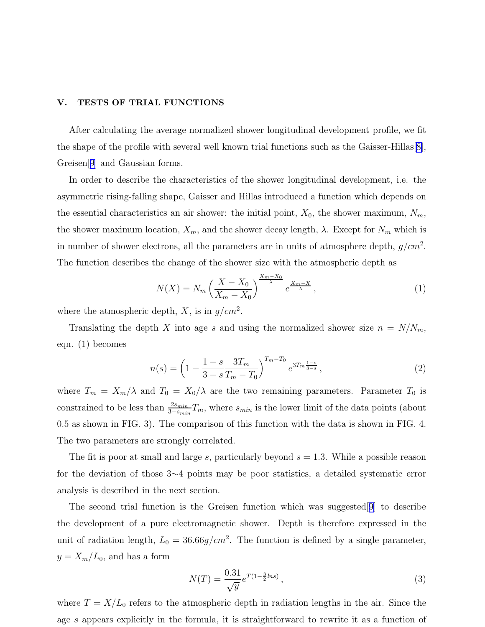#### <span id="page-10-0"></span>V. TESTS OF TRIAL FUNCTIONS

After calculating the average normalized shower longitudinal development profile, we fit the shape of the profile with several well known trial functions such as the Gaisser-Hillas $[8]$  $[8]$ , Greisen[[9\]](#page-16-0) and Gaussian forms.

In order to describe the characteristics of the shower longitudinal development, i.e. the asymmetric rising-falling shape, Gaisser and Hillas introduced a function which depends on the essential characteristics an air shower: the initial point,  $X_0$ , the shower maximum,  $N_m$ , the shower maximum location,  $X_m$ , and the shower decay length,  $\lambda$ . Except for  $N_m$  which is in number of shower electrons, all the parameters are in units of atmosphere depth,  $g/cm^2$ . The function describes the change of the shower size with the atmospheric depth as

$$
N(X) = N_m \left(\frac{X - X_0}{X_m - X_0}\right)^{\frac{X_m - X_0}{\lambda}} e^{\frac{X_m - X}{\lambda}},\tag{1}
$$

where the atmospheric depth, X, is in  $g/cm^2$ .

Translating the depth X into age s and using the normalized shower size  $n = N/N_m$ , eqn. (1) becomes

$$
n(s) = \left(1 - \frac{1 - s}{3 - s} \frac{3T_m}{T_m - T_0}\right)^{T_m - T_0} e^{3T_m \frac{1 - s}{3 - s}},\tag{2}
$$

where  $T_m = X_m/\lambda$  and  $T_0 = X_0/\lambda$  are the two remaining parameters. Parameter  $T_0$  is constrained to be less than  $\frac{2s_{min}}{3-s_{min}}T_m$ , where  $s_{min}$  is the lower limit of the data points (about 0.5 as shown in FIG. 3). The comparison of this function with the data is shown in FIG. 4. The two parameters are strongly correlated.

The fit is poor at small and large s, particularly beyond  $s = 1.3$ . While a possible reason for the deviation of those 3∼4 points may be poor statistics, a detailed systematic error analysis is described in the next section.

The second trial function is the Greisen function which was suggested[[9\]](#page-16-0) to describe the development of a pure electromagnetic shower. Depth is therefore expressed in the unit of radiation length,  $L_0 = 36.66 g/cm^2$ . The function is defined by a single parameter,  $y = X_m/L_0$ , and has a form

$$
N(T) = \frac{0.31}{\sqrt{y}} e^{T(1 - \frac{3}{2}ln s)},
$$
\n(3)

where  $T = X/L_0$  refers to the atmospheric depth in radiation lengths in the air. Since the age s appears explicitly in the formula, it is straightforward to rewrite it as a function of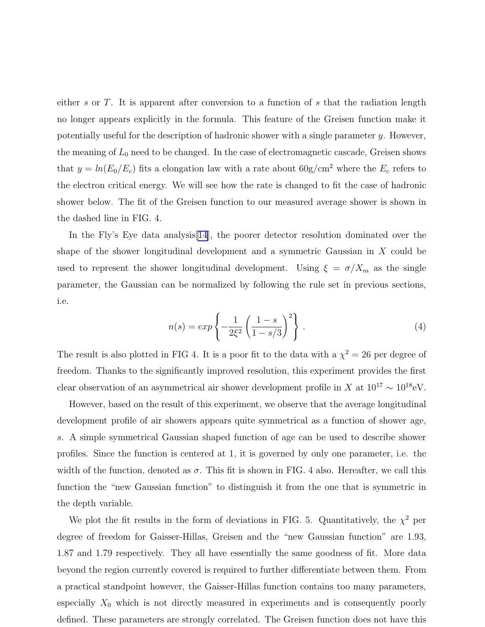either s or T. It is apparent after conversion to a function of s that the radiation length no longer appears explicitly in the formula. This feature of the Greisen function make it potentially useful for the description of hadronic shower with a single parameter  $y$ . However, the meaning of  $L_0$  need to be changed. In the case of electromagnetic cascade, Greisen shows that  $y = ln(E_0/E_c)$  fits a elongation law with a rate about  $60g/cm^2$  where the  $E_c$  refers to the electron critical energy. We will see how the rate is changed to fit the case of hadronic shower below. The fit of the Greisen function to our measured average shower is shown in the dashed line in FIG. 4.

In the Fly's Eye data analysis[\[14](#page-16-0)], the poorer detector resolution dominated over the shape of the shower longitudinal development and a symmetric Gaussian in  $X$  could be used to represent the shower longitudinal development. Using  $\xi = \sigma/X_m$  as the single parameter, the Gaussian can be normalized by following the rule set in previous sections, i.e.

$$
n(s) = exp\left\{-\frac{1}{2\xi^2} \left(\frac{1-s}{1-s/3}\right)^2\right\}.
$$
\n(4)

The result is also plotted in FIG 4. It is a poor fit to the data with a  $\chi^2 = 26$  per degree of freedom. Thanks to the significantly improved resolution, this experiment provides the first clear observation of an asymmetrical air shower development profile in X at  $10^{17} \sim 10^{18} \text{eV}$ .

However, based on the result of this experiment, we observe that the average longitudinal development profile of air showers appears quite symmetrical as a function of shower age, s. A simple symmetrical Gaussian shaped function of age can be used to describe shower profiles. Since the function is centered at 1, it is governed by only one parameter, i.e. the width of the function, denoted as  $\sigma$ . This fit is shown in FIG. 4 also. Hereafter, we call this function the "new Gaussian function" to distinguish it from the one that is symmetric in the depth variable.

We plot the fit results in the form of deviations in FIG. 5. Quantitatively, the  $\chi^2$  per degree of freedom for Gaisser-Hillas, Greisen and the "new Gaussian function" are 1.93, 1.87 and 1.79 respectively. They all have essentially the same goodness of fit. More data beyond the region currently covered is required to further differentiate between them. From a practical standpoint however, the Gaisser-Hillas function contains too many parameters, especially  $X_0$  which is not directly measured in experiments and is consequently poorly defined. These parameters are strongly correlated. The Greisen function does not have this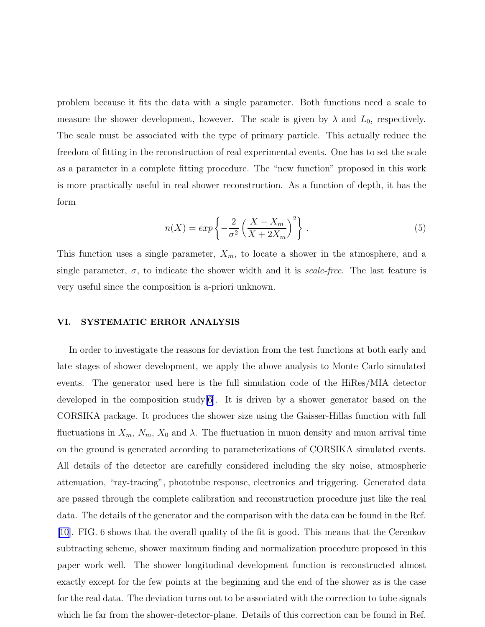<span id="page-12-0"></span>problem because it fits the data with a single parameter. Both functions need a scale to measure the shower development, however. The scale is given by  $\lambda$  and  $L_0$ , respectively. The scale must be associated with the type of primary particle. This actually reduce the freedom of fitting in the reconstruction of real experimental events. One has to set the scale as a parameter in a complete fitting procedure. The "new function" proposed in this work is more practically useful in real shower reconstruction. As a function of depth, it has the form

$$
n(X) = exp\left\{-\frac{2}{\sigma^2} \left(\frac{X - X_m}{X + 2X_m}\right)^2\right\}.
$$
\n(5)

This function uses a single parameter,  $X_m$ , to locate a shower in the atmosphere, and a single parameter,  $\sigma$ , to indicate the shower width and it is *scale-free*. The last feature is very useful since the composition is a-priori unknown.

#### VI. SYSTEMATIC ERROR ANALYSIS

In order to investigate the reasons for deviation from the test functions at both early and late stages of shower development, we apply the above analysis to Monte Carlo simulated events. The generator used here is the full simulation code of the HiRes/MIA detector developed in the composition study[\[6](#page-16-0)]. It is driven by a shower generator based on the CORSIKA package. It produces the shower size using the Gaisser-Hillas function with full fluctuations in  $X_m$ ,  $N_m$ ,  $X_0$  and  $\lambda$ . The fluctuation in muon density and muon arrival time on the ground is generated according to parameterizations of CORSIKA simulated events. All details of the detector are carefully considered including the sky noise, atmospheric attenuation, "ray-tracing", phototube response, electronics and triggering. Generated data are passed through the complete calibration and reconstruction procedure just like the real data. The details of the generator and the comparison with the data can be found in the Ref. [\[10](#page-16-0)]. FIG. 6 shows that the overall quality of the fit is good. This means that the Cerenkov subtracting scheme, shower maximum finding and normalization procedure proposed in this paper work well. The shower longitudinal development function is reconstructed almost exactly except for the few points at the beginning and the end of the shower as is the case for the real data. The deviation turns out to be associated with the correction to tube signals which lie far from the shower-detector-plane. Details of this correction can be found in Ref.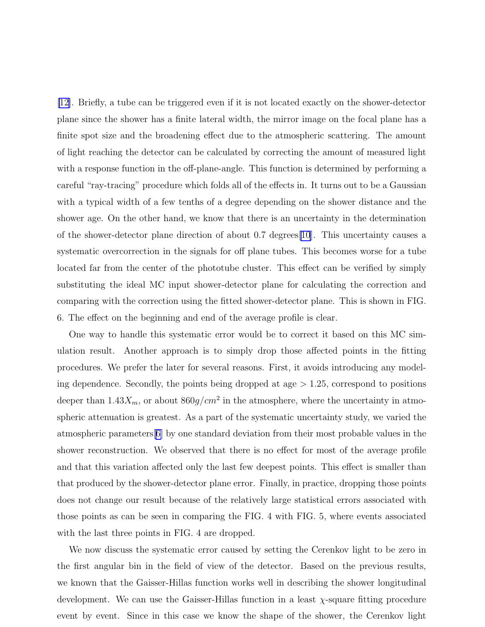[\[12\]](#page-16-0). Briefly, a tube can be triggered even if it is not located exactly on the shower-detector plane since the shower has a finite lateral width, the mirror image on the focal plane has a finite spot size and the broadening effect due to the atmospheric scattering. The amount of light reaching the detector can be calculated by correcting the amount of measured light with a response function in the off-plane-angle. This function is determined by performing a careful "ray-tracing" procedure which folds all of the effects in. It turns out to be a Gaussian with a typical width of a few tenths of a degree depending on the shower distance and the shower age. On the other hand, we know that there is an uncertainty in the determination of the shower-detector plane direction of about 0.7 degrees[\[10](#page-16-0)]. This uncertainty causes a systematic overcorrection in the signals for off plane tubes. This becomes worse for a tube located far from the center of the phototube cluster. This effect can be verified by simply substituting the ideal MC input shower-detector plane for calculating the correction and comparing with the correction using the fitted shower-detector plane. This is shown in FIG. 6. The effect on the beginning and end of the average profile is clear.

One way to handle this systematic error would be to correct it based on this MC simulation result. Another approach is to simply drop those affected points in the fitting procedures. We prefer the later for several reasons. First, it avoids introducing any modeling dependence. Secondly, the points being dropped at age  $> 1.25$ , correspond to positions deeper than  $1.43X_m$ , or about  $860g/cm^2$  in the atmosphere, where the uncertainty in atmospheric attenuation is greatest. As a part of the systematic uncertainty study, we varied the atmospheric parameters[[6\]](#page-16-0) by one standard deviation from their most probable values in the shower reconstruction. We observed that there is no effect for most of the average profile and that this variation affected only the last few deepest points. This effect is smaller than that produced by the shower-detector plane error. Finally, in practice, dropping those points does not change our result because of the relatively large statistical errors associated with those points as can be seen in comparing the FIG. 4 with FIG. 5, where events associated with the last three points in FIG. 4 are dropped.

We now discuss the systematic error caused by setting the Cerenkov light to be zero in the first angular bin in the field of view of the detector. Based on the previous results, we known that the Gaisser-Hillas function works well in describing the shower longitudinal development. We can use the Gaisser-Hillas function in a least  $\chi$ -square fitting procedure event by event. Since in this case we know the shape of the shower, the Cerenkov light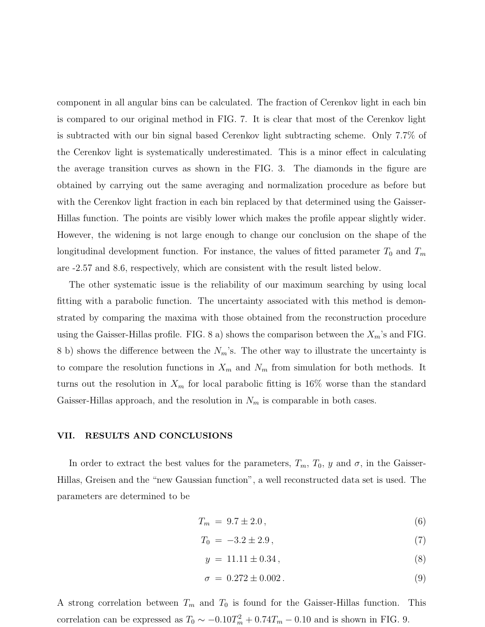component in all angular bins can be calculated. The fraction of Cerenkov light in each bin is compared to our original method in FIG. 7. It is clear that most of the Cerenkov light is subtracted with our bin signal based Cerenkov light subtracting scheme. Only 7.7% of the Cerenkov light is systematically underestimated. This is a minor effect in calculating the average transition curves as shown in the FIG. 3. The diamonds in the figure are obtained by carrying out the same averaging and normalization procedure as before but with the Cerenkov light fraction in each bin replaced by that determined using the Gaisser-Hillas function. The points are visibly lower which makes the profile appear slightly wider. However, the widening is not large enough to change our conclusion on the shape of the longitudinal development function. For instance, the values of fitted parameter  $T_0$  and  $T_m$ are -2.57 and 8.6, respectively, which are consistent with the result listed below.

The other systematic issue is the reliability of our maximum searching by using local fitting with a parabolic function. The uncertainty associated with this method is demonstrated by comparing the maxima with those obtained from the reconstruction procedure using the Gaisser-Hillas profile. FIG. 8 a) shows the comparison between the  $X_m$ 's and FIG. 8 b) shows the difference between the  $N_m$ 's. The other way to illustrate the uncertainty is to compare the resolution functions in  $X_m$  and  $N_m$  from simulation for both methods. It turns out the resolution in  $X_m$  for local parabolic fitting is 16% worse than the standard Gaisser-Hillas approach, and the resolution in  $N_m$  is comparable in both cases.

#### VII. RESULTS AND CONCLUSIONS

In order to extract the best values for the parameters,  $T_m$ ,  $T_0$ ,  $y$  and  $\sigma$ , in the Gaisser-Hillas, Greisen and the "new Gaussian function", a well reconstructed data set is used. The parameters are determined to be

$$
T_m = 9.7 \pm 2.0,\t(6)
$$

$$
T_0 = -3.2 \pm 2.9, \tag{7}
$$

$$
y = 11.11 \pm 0.34, \tag{8}
$$

$$
\sigma = 0.272 \pm 0.002. \tag{9}
$$

A strong correlation between  $T_m$  and  $T_0$  is found for the Gaisser-Hillas function. This correlation can be expressed as  $T_0 \sim -0.10 T_m^2 + 0.74 T_m - 0.10$  and is shown in FIG. 9.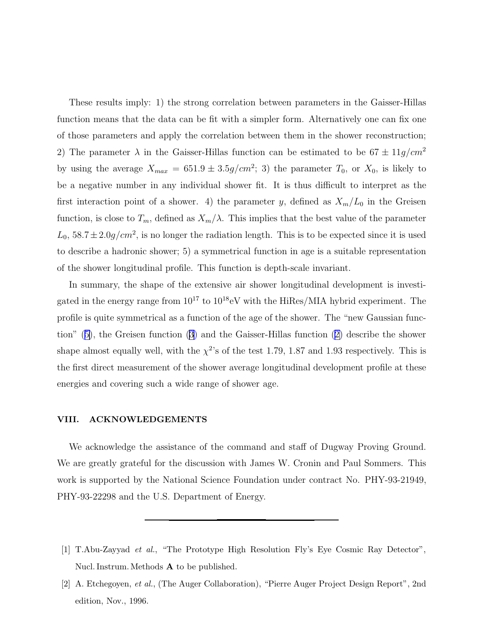<span id="page-15-0"></span>These results imply: 1) the strong correlation between parameters in the Gaisser-Hillas function means that the data can be fit with a simpler form. Alternatively one can fix one of those parameters and apply the correlation between them in the shower reconstruction; 2) The parameter  $\lambda$  in the Gaisser-Hillas function can be estimated to be  $67 \pm 11 g/cm^2$ by using the average  $X_{max} = 651.9 \pm 3.5g/cm^2$ ; 3) the parameter  $T_0$ , or  $X_0$ , is likely to be a negative number in any individual shower fit. It is thus difficult to interpret as the first interaction point of a shower. 4) the parameter y, defined as  $X_m/L_0$  in the Greisen function, is close to  $T_m$ , defined as  $X_m/\lambda$ . This implies that the best value of the parameter  $L_0$ ,  $58.7 \pm 2.0$  g/cm<sup>2</sup>, is no longer the radiation length. This is to be expected since it is used to describe a hadronic shower; 5) a symmetrical function in age is a suitable representation of the shower longitudinal profile. This function is depth-scale invariant.

In summary, the shape of the extensive air shower longitudinal development is investigated in the energy range from  $10^{17}$  to  $10^{18}$ eV with the HiRes/MIA hybrid experiment. The profile is quite symmetrical as a function of the age of the shower. The "new Gaussian function"([5\)](#page-12-0), the Greisen function [\(3](#page-10-0)) and the Gaisser-Hillas function([2\)](#page-10-0) describe the shower shape almost equally well, with the  $\chi^2$ 's of the test 1.79, 1.87 and 1.93 respectively. This is the first direct measurement of the shower average longitudinal development profile at these energies and covering such a wide range of shower age.

#### VIII. ACKNOWLEDGEMENTS

We acknowledge the assistance of the command and staff of Dugway Proving Ground. We are greatly grateful for the discussion with James W. Cronin and Paul Sommers. This work is supported by the National Science Foundation under contract No. PHY-93-21949, PHY-93-22298 and the U.S. Department of Energy.

<sup>[1]</sup> T.Abu-Zayyad et al., "The Prototype High Resolution Fly's Eye Cosmic Ray Detector", Nucl. Instrum. Methods  $A$  to be published.

<sup>[2]</sup> A. Etchegoyen, et al., (The Auger Collaboration), "Pierre Auger Project Design Report", 2nd edition, Nov., 1996.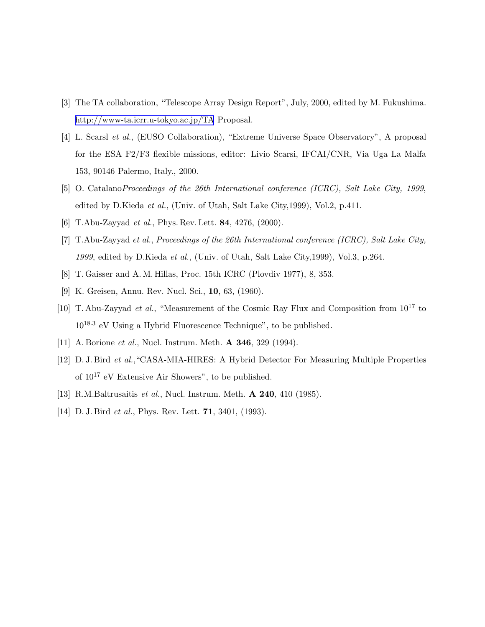- <span id="page-16-0"></span>[3] The TA collaboration, "Telescope Array Design Report", July, 2000, edited by M. Fukushima. <http://www-ta.icrr.u-tokyo.ac.jp/TA> Proposal.
- [4] L. Scarsl et al., (EUSO Collaboration), "Extreme Universe Space Observatory", A proposal for the ESA F2/F3 flexible missions, editor: Livio Scarsi, IFCAI/CNR, Via Uga La Malfa 153, 90146 Palermo, Italy., 2000.
- [5] O. CatalanoProceedings of the 26th International conference (ICRC), Salt Lake City, 1999, edited by D.Kieda et al., (Univ. of Utah, Salt Lake City,1999), Vol.2, p.411.
- [6] T.Abu-Zayyad *et al.*, Phys. Rev. Lett. **84**, 4276, (2000).
- [7] T.Abu-Zayyad et al., Proceedings of the 26th International conference (ICRC), Salt Lake City, 1999, edited by D.Kieda et al., (Univ. of Utah, Salt Lake City,1999), Vol.3, p.264.
- [8] T. Gaisser and A. M. Hillas, Proc. 15th ICRC (Plovdiv 1977), 8, 353.
- [9] K. Greisen, Annu. Rev. Nucl. Sci., 10, 63, (1960).
- [10] T. Abu-Zayyad *et al.*, "Measurement of the Cosmic Ray Flux and Composition from  $10^{17}$  to  $10^{18.3}$  eV Using a Hybrid Fluorescence Technique", to be published.
- [11] A. Borione *et al.*, Nucl. Instrum. Meth. **A 346**, 329 (1994).
- [12] D. J. Bird et al.,"CASA-MIA-HIRES: A Hybrid Detector For Measuring Multiple Properties of  $10^{17}$  eV Extensive Air Showers", to be published.
- [13] R.M.Baltrusaitis *et al.*, Nucl. Instrum. Meth. **A 240**, 410 (1985).
- [14] D. J. Bird *et al.*, Phys. Rev. Lett. **71**, 3401, (1993).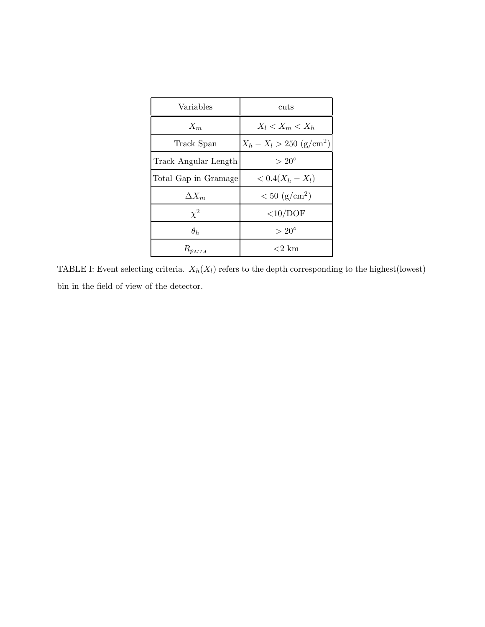| Variables            | cuts                          |
|----------------------|-------------------------------|
| $X_m$                | $X_l < X_m < X_h$             |
| Track Span           | $X_h - X_l > 250 \; (g/cm^2)$ |
| Track Angular Length | $>20^{\circ}$                 |
| Total Gap in Gramage | $< 0.4(X_h - X_l)$            |
| $\Delta X_m$         | $< 50 \; (g/cm^2)$            |
| $\chi^2$             | $\langle 10/DOF$              |
| $\theta_h$           | $>20^{\circ}$                 |
| $R_{p_{MIA}}$        | ${<}2~{\rm km}$               |

TABLE I: Event selecting criteria.  $X_h(X_l)$  refers to the depth corresponding to the highest(lowest) bin in the field of view of the detector.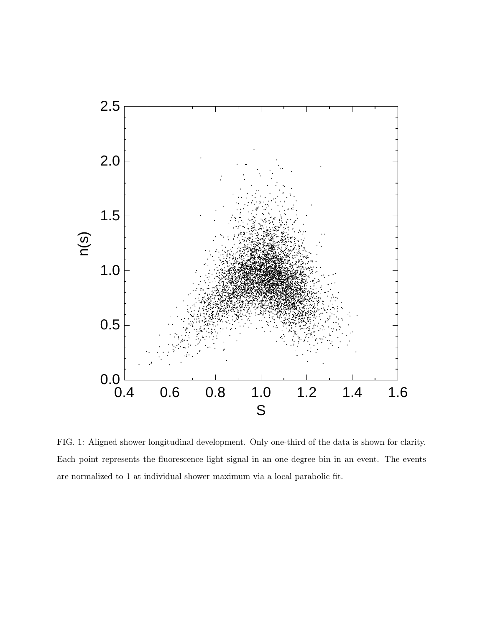

FIG. 1: Aligned shower longitudinal development. Only one-third of the data is shown for clarity. Each point represents the fluorescence light signal in an one degree bin in an event. The events are normalized to 1 at individual shower maximum via a local parabolic fit.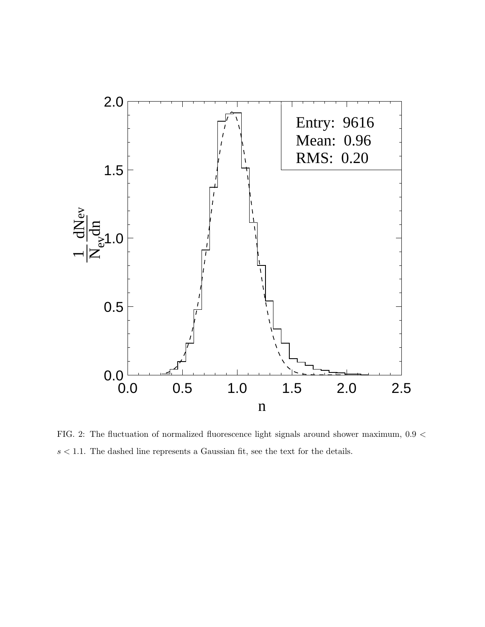

FIG. 2: The fluctuation of normalized fluorescence light signals around shower maximum, 0.9 <  $s < 1.1$ . The dashed line represents a Gaussian fit, see the text for the details.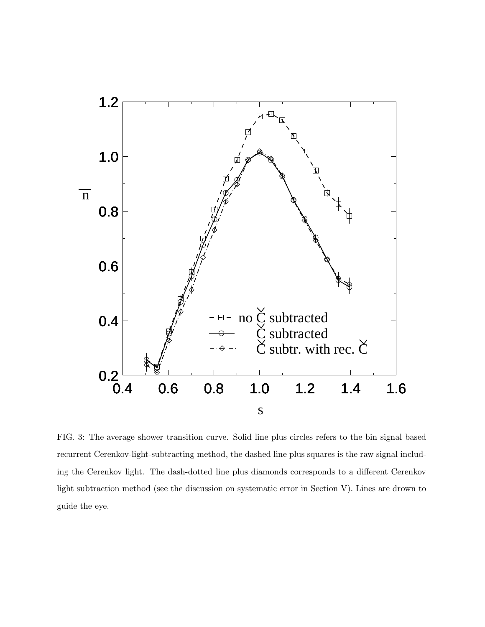

FIG. 3: The average shower transition curve. Solid line plus circles refers to the bin signal based recurrent Cerenkov-light-subtracting method, the dashed line plus squares is the raw signal including the Cerenkov light. The dash-dotted line plus diamonds corresponds to a different Cerenkov light subtraction method (see the discussion on systematic error in Section V). Lines are drown to guide the eye.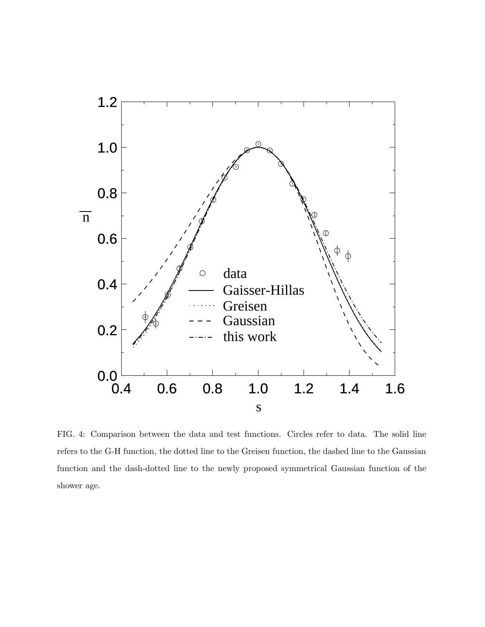

FIG. 4: Comparison between the data and test functions. Circles refer to data. The solid line refers to the G-H function, the dotted line to the Greisen function, the dashed line to the Gaussian function and the dash-dotted line to the newly proposed symmetrical Gaussian function of the shower age.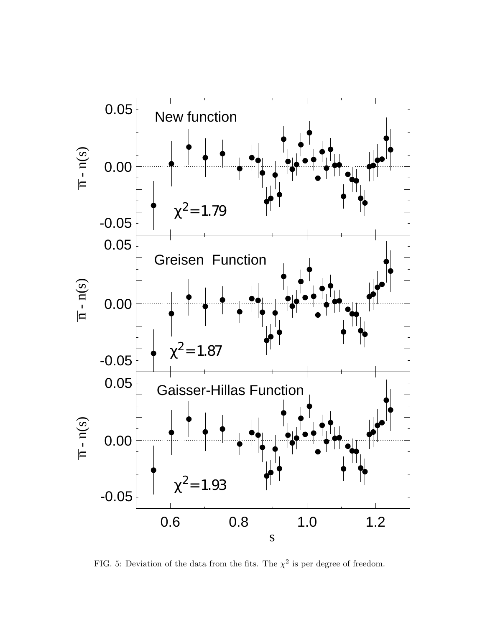

FIG. 5: Deviation of the data from the fits. The  $\chi^2$  is per degree of freedom.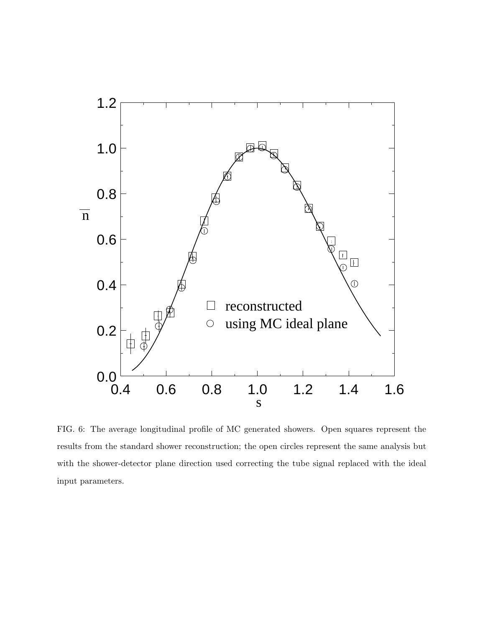

FIG. 6: The average longitudinal profile of MC generated showers. Open squares represent the results from the standard shower reconstruction; the open circles represent the same analysis but with the shower-detector plane direction used correcting the tube signal replaced with the ideal input parameters.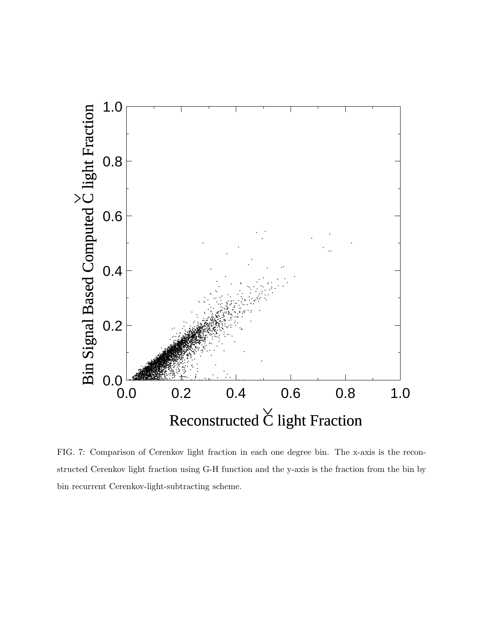

FIG. 7: Comparison of Cerenkov light fraction in each one degree bin. The x-axis is the reconstructed Cerenkov light fraction using G-H function and the y-axis is the fraction from the bin by bin recurrent Cerenkov-light-subtracting scheme.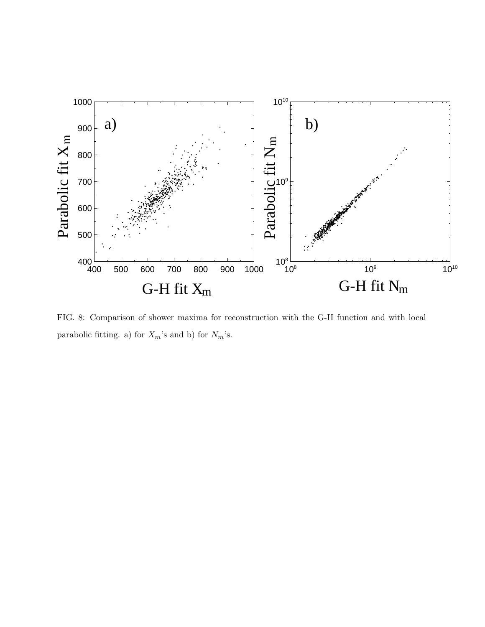

FIG. 8: Comparison of shower maxima for reconstruction with the G-H function and with local parabolic fitting. a) for  $X_m$ 's and b) for  $N_m$ 's.